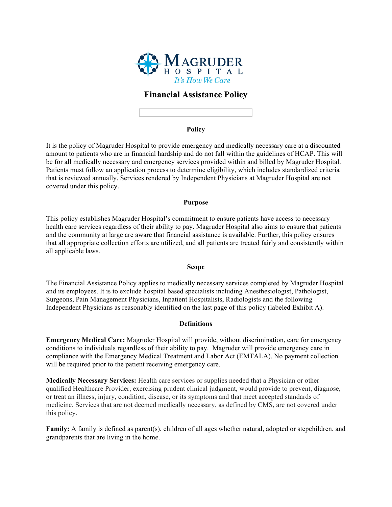

# **Financial Assistance Policy**

#### **Policy**

It is the policy of Magruder Hospital to provide emergency and medically necessary care at a discounted amount to patients who are in financial hardship and do not fall within the guidelines of HCAP. This will be for all medically necessary and emergency services provided within and billed by Magruder Hospital. Patients must follow an application process to determine eligibility, which includes standardized criteria that is reviewed annually. Services rendered by Independent Physicians at Magruder Hospital are not covered under this policy.

#### **Purpose**

This policy establishes Magruder Hospital's commitment to ensure patients have access to necessary health care services regardless of their ability to pay. Magruder Hospital also aims to ensure that patients and the community at large are aware that financial assistance is available. Further, this policy ensures that all appropriate collection efforts are utilized, and all patients are treated fairly and consistently within all applicable laws.

#### **Scope**

The Financial Assistance Policy applies to medically necessary services completed by Magruder Hospital and its employees. It is to exclude hospital based specialists including Anesthesiologist, Pathologist, Surgeons, Pain Management Physicians, Inpatient Hospitalists, Radiologists and the following Independent Physicians as reasonably identified on the last page of this policy (labeled Exhibit A).

### **Definitions**

**Emergency Medical Care:** Magruder Hospital will provide, without discrimination, care for emergency conditions to individuals regardless of their ability to pay. Magruder will provide emergency care in compliance with the Emergency Medical Treatment and Labor Act (EMTALA). No payment collection will be required prior to the patient receiving emergency care.

**Medically Necessary Services:** Health care services or supplies needed that a Physician or other qualified Healthcare Provider, exercising prudent clinical judgment, would provide to prevent, diagnose, or treat an illness, injury, condition, disease, or its symptoms and that meet accepted standards of medicine. Services that are not deemed medically necessary, as defined by CMS, are not covered under this policy.

**Family:** A family is defined as parent(s), children of all ages whether natural, adopted or stepchildren, and grandparents that are living in the home.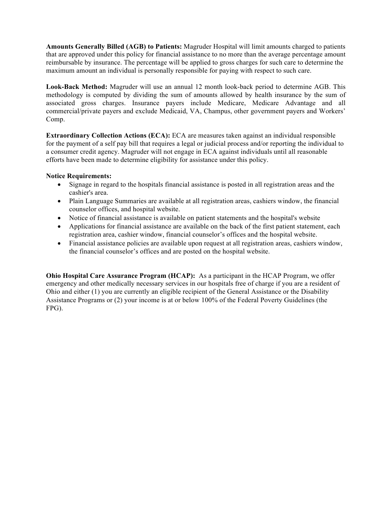**Amounts Generally Billed (AGB) to Patients:** Magruder Hospital will limit amounts charged to patients that are approved under this policy for financial assistance to no more than the average percentage amount reimbursable by insurance. The percentage will be applied to gross charges for such care to determine the maximum amount an individual is personally responsible for paying with respect to such care.

**Look-Back Method:** Magruder will use an annual 12 month look-back period to determine AGB. This methodology is computed by dividing the sum of amounts allowed by health insurance by the sum of associated gross charges. Insurance payers include Medicare, Medicare Advantage and all commercial/private payers and exclude Medicaid, VA, Champus, other government payers and Workers' Comp.

**Extraordinary Collection Actions (ECA):** ECA are measures taken against an individual responsible for the payment of a self pay bill that requires a legal or judicial process and/or reporting the individual to a consumer credit agency. Magruder will not engage in ECA against individuals until all reasonable efforts have been made to determine eligibility for assistance under this policy.

### **Notice Requirements:**

- Signage in regard to the hospitals financial assistance is posted in all registration areas and the cashier's area.
- Plain Language Summaries are available at all registration areas, cashiers window, the financial counselor offices, and hospital website.
- Notice of financial assistance is available on patient statements and the hospital's website
- Applications for financial assistance are available on the back of the first patient statement, each registration area, cashier window, financial counselor's offices and the hospital website.
- Financial assistance policies are available upon request at all registration areas, cashiers window, the financial counselor's offices and are posted on the hospital website.

**Ohio Hospital Care Assurance Program (HCAP):** As a participant in the HCAP Program, we offer emergency and other medically necessary services in our hospitals free of charge if you are a resident of Ohio and either (1) you are currently an eligible recipient of the General Assistance or the Disability Assistance Programs or (2) your income is at or below 100% of the Federal Poverty Guidelines (the FPG).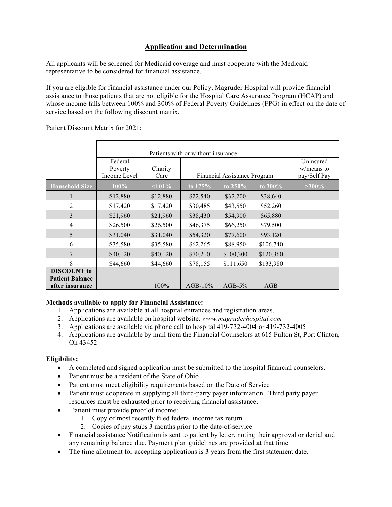# **Application and Determination**

All applicants will be screened for Medicaid coverage and must cooperate with the Medicaid representative to be considered for financial assistance.

If you are eligible for financial assistance under our Policy, Magruder Hospital will provide financial assistance to those patients that are not eligible for the Hospital Care Assurance Program (HCAP) and whose income falls between 100% and 300% of Federal Poverty Guidelines (FPG) in effect on the date of service based on the following discount matrix.

Patient Discount Matrix for 2021:

|                                                                 | Patients with or without insurance |                 |            |                              |            |                                         |
|-----------------------------------------------------------------|------------------------------------|-----------------|------------|------------------------------|------------|-----------------------------------------|
|                                                                 | Federal<br>Poverty<br>Income Level | Charity<br>Care |            | Financial Assistance Program |            | Uninsured<br>w/means to<br>pay/Self Pay |
| <b>Household Size</b>                                           | $100\%$                            | $101\%$         | to $175%$  | to $250\%$                   | to $300\%$ | $>300\%$                                |
| 1                                                               | \$12,880                           | \$12,880        | \$22,540   | \$32,200                     | \$38,640   |                                         |
| 2                                                               | \$17,420                           | \$17,420        | \$30,485   | \$43,550                     | \$52,260   |                                         |
| 3                                                               | \$21,960                           | \$21,960        | \$38,430   | \$54,900                     | \$65,880   |                                         |
| $\overline{4}$                                                  | \$26,500                           | \$26,500        | \$46,375   | \$66,250                     | \$79,500   |                                         |
| 5                                                               | \$31,040                           | \$31,040        | \$54,320   | \$77,600                     | \$93,120   |                                         |
| 6                                                               | \$35,580                           | \$35,580        | \$62,265   | \$88,950                     | \$106,740  |                                         |
| 7                                                               | \$40,120                           | \$40,120        | \$70,210   | \$100,300                    | \$120,360  |                                         |
| 8                                                               | \$44,660                           | \$44,660        | \$78,155   | \$111,650                    | \$133,980  |                                         |
| <b>DISCOUNT</b> to<br><b>Patient Balance</b><br>after insurance |                                    | 100%            | $AGB-10\%$ | $AGB-5%$                     | AGB        |                                         |

## **Methods available to apply for Financial Assistance:**

- 1. Applications are available at all hospital entrances and registration areas.
- 2. Applications are available on hospital website. *www.magruderhospital.com*
- 3. Applications are available via phone call to hospital 419-732-4004 or 419-732-4005
- 4. Applications are available by mail from the Financial Counselors at 615 Fulton St, Port Clinton, Oh 43452

### **Eligibility:**

- A completed and signed application must be submitted to the hospital financial counselors.
- Patient must be a resident of the State of Ohio
- Patient must meet eligibility requirements based on the Date of Service
- Patient must cooperate in supplying all third-party payer information. Third party payer resources must be exhausted prior to receiving financial assistance.
- Patient must provide proof of income:
	- 1. Copy of most recently filed federal income tax return
	- 2. Copies of pay stubs 3 months prior to the date-of-service
- Financial assistance Notification is sent to patient by letter, noting their approval or denial and any remaining balance due. Payment plan guidelines are provided at that time.
- The time allotment for accepting applications is 3 years from the first statement date.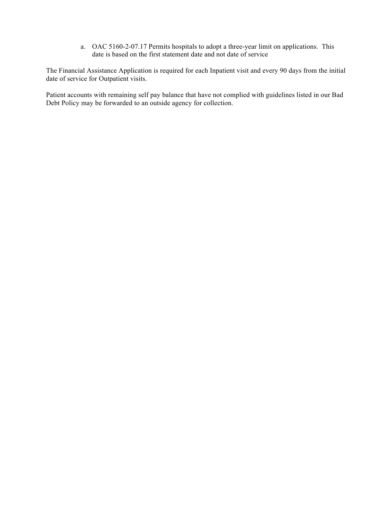a. OAC 5160-2-07.17 Permits hospitals to adopt a three-year limit on applications. This date is based on the first statement date and not date of service

The Financial Assistance Application is required for each Inpatient visit and every 90 days from the initial date of service for Outpatient visits.

Patient accounts with remaining self pay balance that have not complied with guidelines listed in our Bad Debt Policy may be forwarded to an outside agency for collection.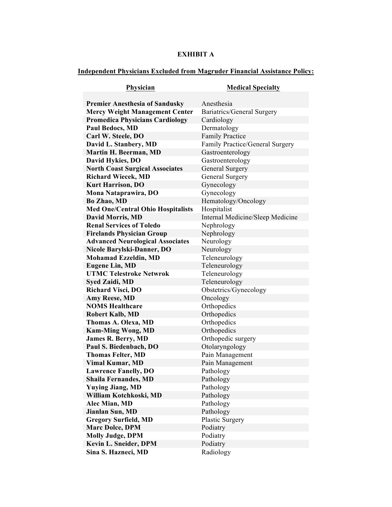# **EXHIBIT A**

# **Independent Physicians Excluded from Magruder Financial Assistance Policy:**

| Physician                                               | <b>Medical Specialty</b>          |
|---------------------------------------------------------|-----------------------------------|
|                                                         |                                   |
| <b>Premier Anesthesia of Sandusky</b>                   | Anesthesia                        |
| <b>Mercy Weight Management Center</b>                   | <b>Bariatrics/General Surgery</b> |
| <b>Promedica Physicians Cardiology</b>                  | Cardiology                        |
| <b>Paul Bedocs, MD</b>                                  | Dermatology                       |
| Carl W. Steele, DO                                      | <b>Family Practice</b>            |
| David L. Stanbery, MD                                   | Family Practice/General Surgery   |
| Martin H. Beerman, MD                                   | Gastroenterology                  |
| David Hykies, DO                                        | Gastroenterology                  |
| <b>North Coast Surgical Associates</b>                  | General Surgery                   |
| <b>Richard Wiecek, MD</b>                               | General Surgery                   |
| <b>Kurt Harrison, DO</b>                                | Gynecology                        |
| Mona Nataprawira, DO                                    | Gynecology                        |
| <b>Bo Zhao, MD</b>                                      | Hematology/Oncology               |
| <b>Med One/Central Ohio Hospitalists</b>                | Hospitalist                       |
| <b>David Morris, MD</b>                                 | Internal Medicine/Sleep Medicine  |
| <b>Renal Services of Toledo</b>                         | Nephrology                        |
| <b>Firelands Physician Group</b>                        | Nephrology                        |
| <b>Advanced Neurological Associates</b>                 | Neurology                         |
| Nicole Barylski-Danner, DO                              | Neurology                         |
| <b>Mohamad Ezzeldin, MD</b>                             | Teleneurology                     |
| <b>Eugene Lin, MD</b><br><b>UTMC Telestroke Netwrok</b> | Teleneurology                     |
|                                                         | Teleneurology                     |
| <b>Syed Zaidi, MD</b>                                   | Teleneurology                     |
| <b>Richard Visci, DO</b><br><b>Amy Reese, MD</b>        | Obstetrics/Gynecology<br>Oncology |
| <b>NOMS Healthcare</b>                                  | Orthopedics                       |
| <b>Robert Kalb, MD</b>                                  | Orthopedics                       |
| Thomas A. Olexa, MD                                     | Orthopedics                       |
| <b>Kam-Ming Wong, MD</b>                                | Orthopedics                       |
| <b>James R. Berry, MD</b>                               | Orthopedic surgery                |
| Paul S. Biedenbach, DO                                  | Otolaryngology                    |
| <b>Thomas Felter, MD</b>                                | Pain Management                   |
| <b>Vimal Kumar, MD</b>                                  | Pain Management                   |
| <b>Lawrence Fanelly, DO</b>                             | Pathology                         |
| <b>Shaila Fernandes, MD</b>                             | Pathology                         |
| <b>Yuying Jiang, MD</b>                                 | Pathology                         |
| William Kotchkoski, MD                                  | Pathology                         |
| Alec Mian, MD                                           | Pathology                         |
| Jianlan Sun, MD                                         | Pathology                         |
| <b>Gregory Surfield, MD</b>                             | <b>Plastic Surgery</b>            |
| <b>Marc Dolce, DPM</b>                                  | Podiatry                          |
| <b>Molly Judge, DPM</b>                                 | Podiatry                          |
| Kevin L. Sneider, DPM                                   | Podiatry                          |
| Sina S. Hazneci, MD                                     | Radiology                         |